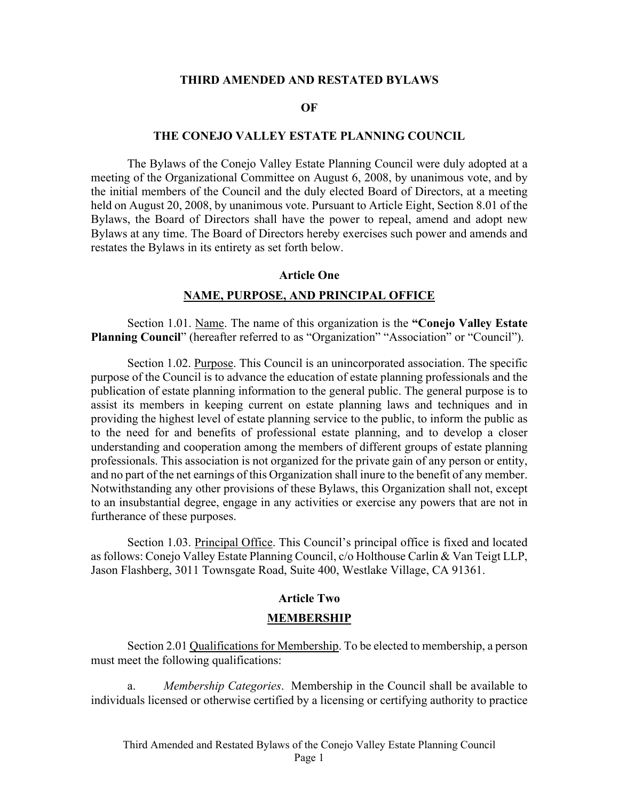### **THIRD AMENDED AND RESTATED BYLAWS**

### **OF**

## **THE CONEJO VALLEY ESTATE PLANNING COUNCIL**

The Bylaws of the Conejo Valley Estate Planning Council were duly adopted at a meeting of the Organizational Committee on August 6, 2008, by unanimous vote, and by the initial members of the Council and the duly elected Board of Directors, at a meeting held on August 20, 2008, by unanimous vote. Pursuant to Article Eight, Section 8.01 of the Bylaws, the Board of Directors shall have the power to repeal, amend and adopt new Bylaws at any time. The Board of Directors hereby exercises such power and amends and restates the Bylaws in its entirety as set forth below.

#### **Article One**

### **NAME, PURPOSE, AND PRINCIPAL OFFICE**

Section 1.01. Name. The name of this organization is the **"Conejo Valley Estate Planning Council**" (hereafter referred to as "Organization" "Association" or "Council").

Section 1.02. Purpose. This Council is an unincorporated association. The specific purpose of the Council is to advance the education of estate planning professionals and the publication of estate planning information to the general public. The general purpose is to assist its members in keeping current on estate planning laws and techniques and in providing the highest level of estate planning service to the public, to inform the public as to the need for and benefits of professional estate planning, and to develop a closer understanding and cooperation among the members of different groups of estate planning professionals. This association is not organized for the private gain of any person or entity, and no part of the net earnings of this Organization shall inure to the benefit of any member. Notwithstanding any other provisions of these Bylaws, this Organization shall not, except to an insubstantial degree, engage in any activities or exercise any powers that are not in furtherance of these purposes.

Section 1.03. Principal Office. This Council's principal office is fixed and located as follows: Conejo Valley Estate Planning Council, c/o Holthouse Carlin & Van Teigt LLP, Jason Flashberg, 3011 Townsgate Road, Suite 400, Westlake Village, CA 91361.

#### **Article Two**

#### **MEMBERSHIP**

Section 2.01 Qualifications for Membership. To be elected to membership, a person must meet the following qualifications:

a. *Membership Categories*. Membership in the Council shall be available to individuals licensed or otherwise certified by a licensing or certifying authority to practice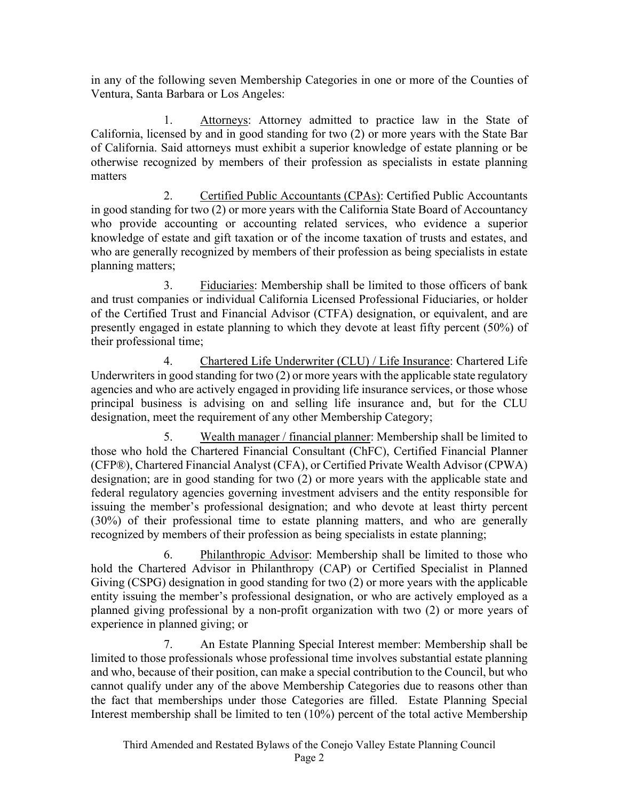in any of the following seven Membership Categories in one or more of the Counties of Ventura, Santa Barbara or Los Angeles:

1. Attorneys: Attorney admitted to practice law in the State of California, licensed by and in good standing for two (2) or more years with the State Bar of California. Said attorneys must exhibit a superior knowledge of estate planning or be otherwise recognized by members of their profession as specialists in estate planning matters

2. Certified Public Accountants (CPAs): Certified Public Accountants in good standing for two (2) or more years with the California State Board of Accountancy who provide accounting or accounting related services, who evidence a superior knowledge of estate and gift taxation or of the income taxation of trusts and estates, and who are generally recognized by members of their profession as being specialists in estate planning matters;

3. Fiduciaries: Membership shall be limited to those officers of bank and trust companies or individual California Licensed Professional Fiduciaries, or holder of the Certified Trust and Financial Advisor (CTFA) designation, or equivalent, and are presently engaged in estate planning to which they devote at least fifty percent (50%) of their professional time;

4. Chartered Life Underwriter (CLU) / Life Insurance: Chartered Life Underwriters in good standing for two (2) or more years with the applicable state regulatory agencies and who are actively engaged in providing life insurance services, or those whose principal business is advising on and selling life insurance and, but for the CLU designation, meet the requirement of any other Membership Category;

5. Wealth manager / financial planner: Membership shall be limited to those who hold the Chartered Financial Consultant (ChFC), Certified Financial Planner (CFP®), Chartered Financial Analyst (CFA), or Certified Private Wealth Advisor (CPWA) designation; are in good standing for two (2) or more years with the applicable state and federal regulatory agencies governing investment advisers and the entity responsible for issuing the member's professional designation; and who devote at least thirty percent (30%) of their professional time to estate planning matters, and who are generally recognized by members of their profession as being specialists in estate planning;

6. Philanthropic Advisor: Membership shall be limited to those who hold the Chartered Advisor in Philanthropy (CAP) or Certified Specialist in Planned Giving (CSPG) designation in good standing for two (2) or more years with the applicable entity issuing the member's professional designation, or who are actively employed as a planned giving professional by a non-profit organization with two (2) or more years of experience in planned giving; or

7. An Estate Planning Special Interest member: Membership shall be limited to those professionals whose professional time involves substantial estate planning and who, because of their position, can make a special contribution to the Council, but who cannot qualify under any of the above Membership Categories due to reasons other than the fact that memberships under those Categories are filled. Estate Planning Special Interest membership shall be limited to ten (10%) percent of the total active Membership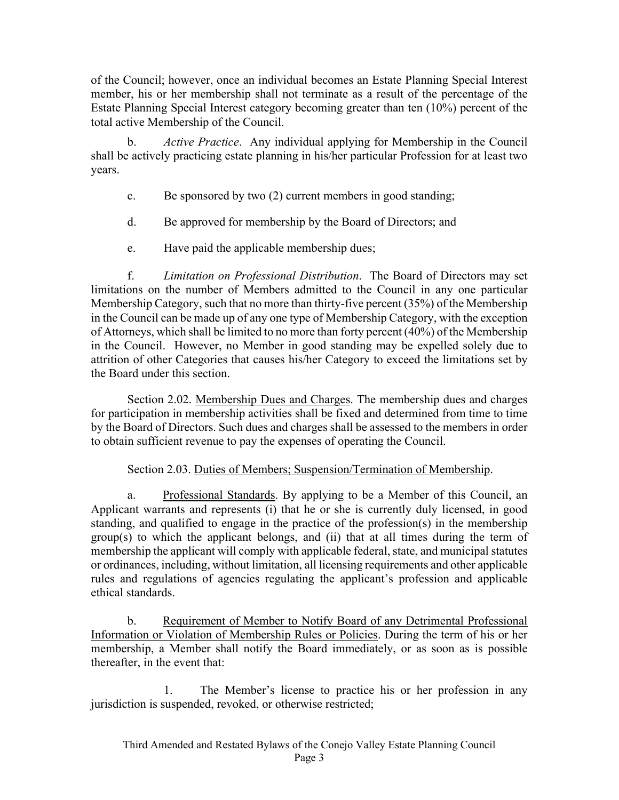of the Council; however, once an individual becomes an Estate Planning Special Interest member, his or her membership shall not terminate as a result of the percentage of the Estate Planning Special Interest category becoming greater than ten (10%) percent of the total active Membership of the Council.

b. *Active Practice*. Any individual applying for Membership in the Council shall be actively practicing estate planning in his/her particular Profession for at least two years.

- c. Be sponsored by two (2) current members in good standing;
- d. Be approved for membership by the Board of Directors; and
- e. Have paid the applicable membership dues;

f. *Limitation on Professional Distribution*. The Board of Directors may set limitations on the number of Members admitted to the Council in any one particular Membership Category, such that no more than thirty-five percent (35%) of the Membership in the Council can be made up of any one type of Membership Category, with the exception of Attorneys, which shall be limited to no more than forty percent (40%) of the Membership in the Council. However, no Member in good standing may be expelled solely due to attrition of other Categories that causes his/her Category to exceed the limitations set by the Board under this section.

Section 2.02. Membership Dues and Charges. The membership dues and charges for participation in membership activities shall be fixed and determined from time to time by the Board of Directors. Such dues and charges shall be assessed to the members in order to obtain sufficient revenue to pay the expenses of operating the Council.

# Section 2.03. Duties of Members; Suspension/Termination of Membership.

a. Professional Standards. By applying to be a Member of this Council, an Applicant warrants and represents (i) that he or she is currently duly licensed, in good standing, and qualified to engage in the practice of the profession(s) in the membership group(s) to which the applicant belongs, and (ii) that at all times during the term of membership the applicant will comply with applicable federal, state, and municipal statutes or ordinances, including, without limitation, all licensing requirements and other applicable rules and regulations of agencies regulating the applicant's profession and applicable ethical standards.

b. Requirement of Member to Notify Board of any Detrimental Professional Information or Violation of Membership Rules or Policies. During the term of his or her membership, a Member shall notify the Board immediately, or as soon as is possible thereafter, in the event that:

1. The Member's license to practice his or her profession in any jurisdiction is suspended, revoked, or otherwise restricted;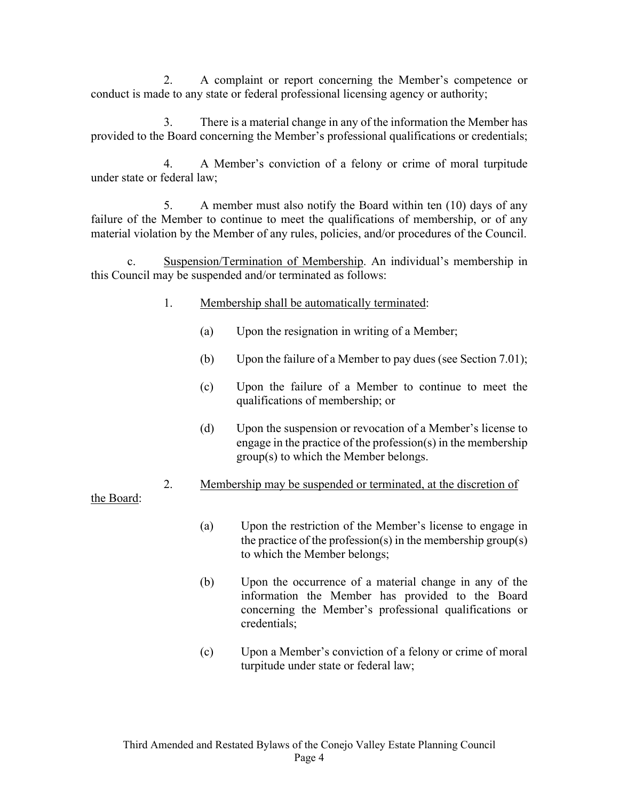2. A complaint or report concerning the Member's competence or conduct is made to any state or federal professional licensing agency or authority;

3. There is a material change in any of the information the Member has provided to the Board concerning the Member's professional qualifications or credentials;

4. A Member's conviction of a felony or crime of moral turpitude under state or federal law;

5. A member must also notify the Board within ten (10) days of any failure of the Member to continue to meet the qualifications of membership, or of any material violation by the Member of any rules, policies, and/or procedures of the Council.

c. Suspension/Termination of Membership. An individual's membership in this Council may be suspended and/or terminated as follows:

- 1. Membership shall be automatically terminated:
	- (a) Upon the resignation in writing of a Member;
	- (b) Upon the failure of a Member to pay dues (see Section 7.01);
	- (c) Upon the failure of a Member to continue to meet the qualifications of membership; or
	- (d) Upon the suspension or revocation of a Member's license to engage in the practice of the profession(s) in the membership group(s) to which the Member belongs.
- 2. Membership may be suspended or terminated, at the discretion of

the Board:

- (a) Upon the restriction of the Member's license to engage in the practice of the profession(s) in the membership group(s) to which the Member belongs;
- (b) Upon the occurrence of a material change in any of the information the Member has provided to the Board concerning the Member's professional qualifications or credentials;
- (c) Upon a Member's conviction of a felony or crime of moral turpitude under state or federal law;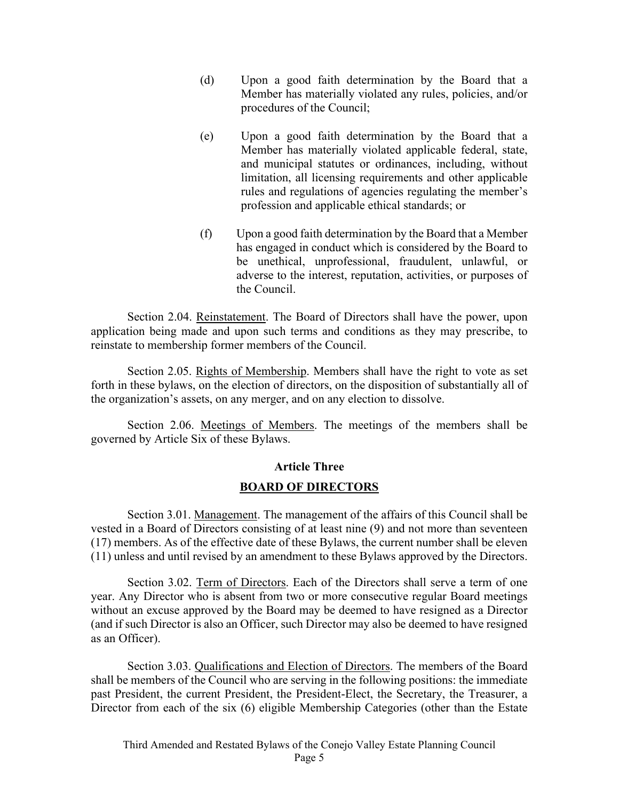- (d) Upon a good faith determination by the Board that a Member has materially violated any rules, policies, and/or procedures of the Council;
- (e) Upon a good faith determination by the Board that a Member has materially violated applicable federal, state, and municipal statutes or ordinances, including, without limitation, all licensing requirements and other applicable rules and regulations of agencies regulating the member's profession and applicable ethical standards; or
- (f) Upon a good faith determination by the Board that a Member has engaged in conduct which is considered by the Board to be unethical, unprofessional, fraudulent, unlawful, or adverse to the interest, reputation, activities, or purposes of the Council.

Section 2.04. Reinstatement. The Board of Directors shall have the power, upon application being made and upon such terms and conditions as they may prescribe, to reinstate to membership former members of the Council.

Section 2.05. Rights of Membership. Members shall have the right to vote as set forth in these bylaws, on the election of directors, on the disposition of substantially all of the organization's assets, on any merger, and on any election to dissolve.

Section 2.06. Meetings of Members. The meetings of the members shall be governed by Article Six of these Bylaws.

# **Article Three**

# **BOARD OF DIRECTORS**

Section 3.01. Management. The management of the affairs of this Council shall be vested in a Board of Directors consisting of at least nine (9) and not more than seventeen (17) members. As of the effective date of these Bylaws, the current number shall be eleven (11) unless and until revised by an amendment to these Bylaws approved by the Directors.

Section 3.02. Term of Directors. Each of the Directors shall serve a term of one year. Any Director who is absent from two or more consecutive regular Board meetings without an excuse approved by the Board may be deemed to have resigned as a Director (and if such Director is also an Officer, such Director may also be deemed to have resigned as an Officer).

Section 3.03. Qualifications and Election of Directors. The members of the Board shall be members of the Council who are serving in the following positions: the immediate past President, the current President, the President-Elect, the Secretary, the Treasurer, a Director from each of the six (6) eligible Membership Categories (other than the Estate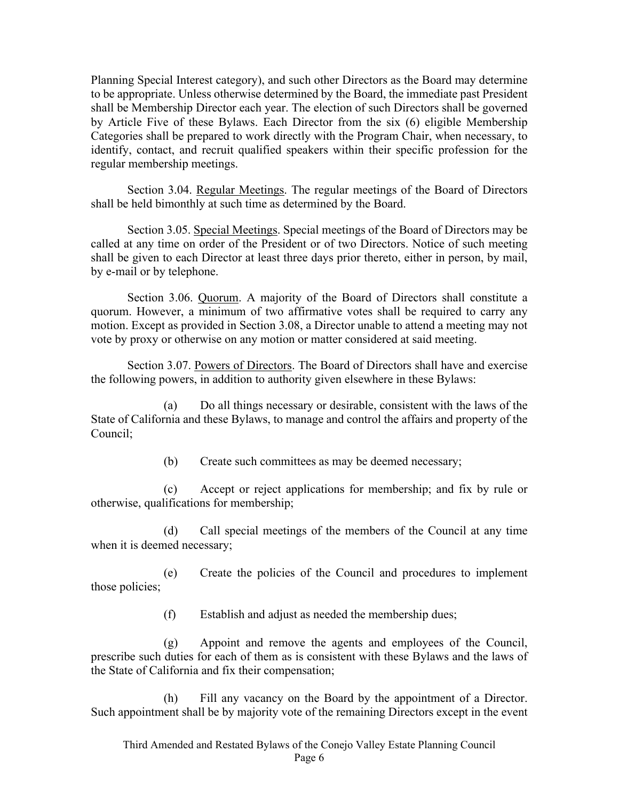Planning Special Interest category), and such other Directors as the Board may determine to be appropriate. Unless otherwise determined by the Board, the immediate past President shall be Membership Director each year. The election of such Directors shall be governed by Article Five of these Bylaws. Each Director from the six (6) eligible Membership Categories shall be prepared to work directly with the Program Chair, when necessary, to identify, contact, and recruit qualified speakers within their specific profession for the regular membership meetings.

Section 3.04. Regular Meetings. The regular meetings of the Board of Directors shall be held bimonthly at such time as determined by the Board.

Section 3.05. Special Meetings. Special meetings of the Board of Directors may be called at any time on order of the President or of two Directors. Notice of such meeting shall be given to each Director at least three days prior thereto, either in person, by mail, by e-mail or by telephone.

Section 3.06. Quorum. A majority of the Board of Directors shall constitute a quorum. However, a minimum of two affirmative votes shall be required to carry any motion. Except as provided in Section 3.08, a Director unable to attend a meeting may not vote by proxy or otherwise on any motion or matter considered at said meeting.

Section 3.07. Powers of Directors. The Board of Directors shall have and exercise the following powers, in addition to authority given elsewhere in these Bylaws:

(a) Do all things necessary or desirable, consistent with the laws of the State of California and these Bylaws, to manage and control the affairs and property of the Council;

(b) Create such committees as may be deemed necessary;

(c) Accept or reject applications for membership; and fix by rule or otherwise, qualifications for membership;

(d) Call special meetings of the members of the Council at any time when it is deemed necessary;

(e) Create the policies of the Council and procedures to implement those policies;

(f) Establish and adjust as needed the membership dues;

(g) Appoint and remove the agents and employees of the Council, prescribe such duties for each of them as is consistent with these Bylaws and the laws of the State of California and fix their compensation;

(h) Fill any vacancy on the Board by the appointment of a Director. Such appointment shall be by majority vote of the remaining Directors except in the event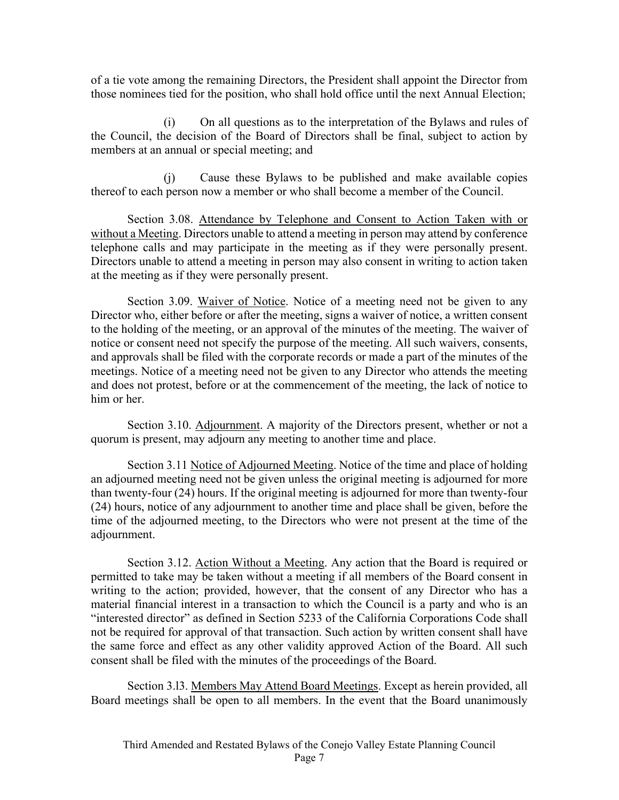of a tie vote among the remaining Directors, the President shall appoint the Director from those nominees tied for the position, who shall hold office until the next Annual Election;

(i) On all questions as to the interpretation of the Bylaws and rules of the Council, the decision of the Board of Directors shall be final, subject to action by members at an annual or special meeting; and

(j) Cause these Bylaws to be published and make available copies thereof to each person now a member or who shall become a member of the Council.

Section 3.08. Attendance by Telephone and Consent to Action Taken with or without a Meeting. Directors unable to attend a meeting in person may attend by conference telephone calls and may participate in the meeting as if they were personally present. Directors unable to attend a meeting in person may also consent in writing to action taken at the meeting as if they were personally present.

Section 3.09. Waiver of Notice. Notice of a meeting need not be given to any Director who, either before or after the meeting, signs a waiver of notice, a written consent to the holding of the meeting, or an approval of the minutes of the meeting. The waiver of notice or consent need not specify the purpose of the meeting. All such waivers, consents, and approvals shall be filed with the corporate records or made a part of the minutes of the meetings. Notice of a meeting need not be given to any Director who attends the meeting and does not protest, before or at the commencement of the meeting, the lack of notice to him or her.

Section 3.10. Adjournment. A majority of the Directors present, whether or not a quorum is present, may adjourn any meeting to another time and place.

Section 3.11 Notice of Adjourned Meeting. Notice of the time and place of holding an adjourned meeting need not be given unless the original meeting is adjourned for more than twenty-four (24) hours. If the original meeting is adjourned for more than twenty-four (24) hours, notice of any adjournment to another time and place shall be given, before the time of the adjourned meeting, to the Directors who were not present at the time of the adjournment.

Section 3.12. Action Without a Meeting. Any action that the Board is required or permitted to take may be taken without a meeting if all members of the Board consent in writing to the action; provided, however, that the consent of any Director who has a material financial interest in a transaction to which the Council is a party and who is an "interested director" as defined in Section 5233 of the California Corporations Code shall not be required for approval of that transaction. Such action by written consent shall have the same force and effect as any other validity approved Action of the Board. All such consent shall be filed with the minutes of the proceedings of the Board.

Section 3.l3. Members May Attend Board Meetings. Except as herein provided, all Board meetings shall be open to all members. In the event that the Board unanimously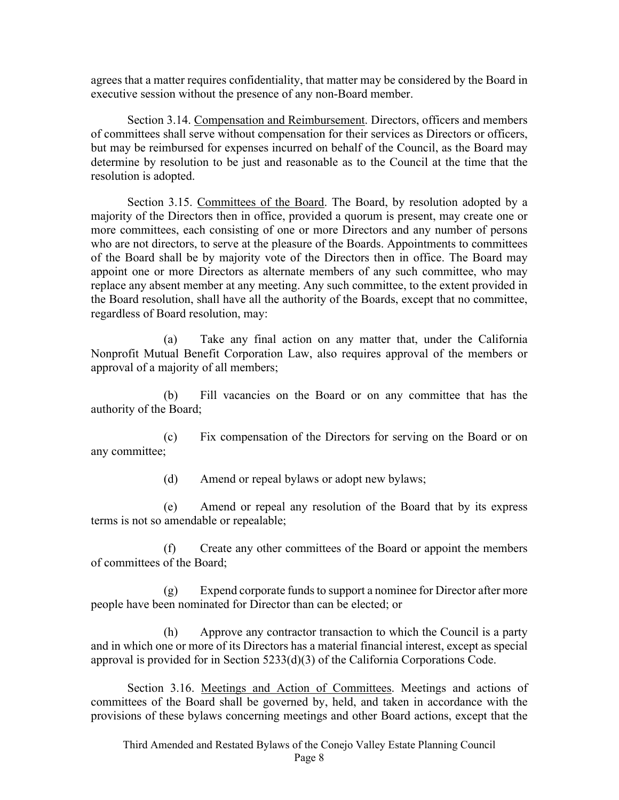agrees that a matter requires confidentiality, that matter may be considered by the Board in executive session without the presence of any non-Board member.

Section 3.14. Compensation and Reimbursement. Directors, officers and members of committees shall serve without compensation for their services as Directors or officers, but may be reimbursed for expenses incurred on behalf of the Council, as the Board may determine by resolution to be just and reasonable as to the Council at the time that the resolution is adopted.

Section 3.15. Committees of the Board. The Board, by resolution adopted by a majority of the Directors then in office, provided a quorum is present, may create one or more committees, each consisting of one or more Directors and any number of persons who are not directors, to serve at the pleasure of the Boards. Appointments to committees of the Board shall be by majority vote of the Directors then in office. The Board may appoint one or more Directors as alternate members of any such committee, who may replace any absent member at any meeting. Any such committee, to the extent provided in the Board resolution, shall have all the authority of the Boards, except that no committee, regardless of Board resolution, may:

(a) Take any final action on any matter that, under the California Nonprofit Mutual Benefit Corporation Law, also requires approval of the members or approval of a majority of all members;

(b) Fill vacancies on the Board or on any committee that has the authority of the Board;

(c) Fix compensation of the Directors for serving on the Board or on any committee;

(d) Amend or repeal bylaws or adopt new bylaws;

(e) Amend or repeal any resolution of the Board that by its express terms is not so amendable or repealable;

(f) Create any other committees of the Board or appoint the members of committees of the Board;

(g) Expend corporate funds to support a nominee for Director after more people have been nominated for Director than can be elected; or

(h) Approve any contractor transaction to which the Council is a party and in which one or more of its Directors has a material financial interest, except as special approval is provided for in Section 5233(d)(3) of the California Corporations Code.

Section 3.16. Meetings and Action of Committees. Meetings and actions of committees of the Board shall be governed by, held, and taken in accordance with the provisions of these bylaws concerning meetings and other Board actions, except that the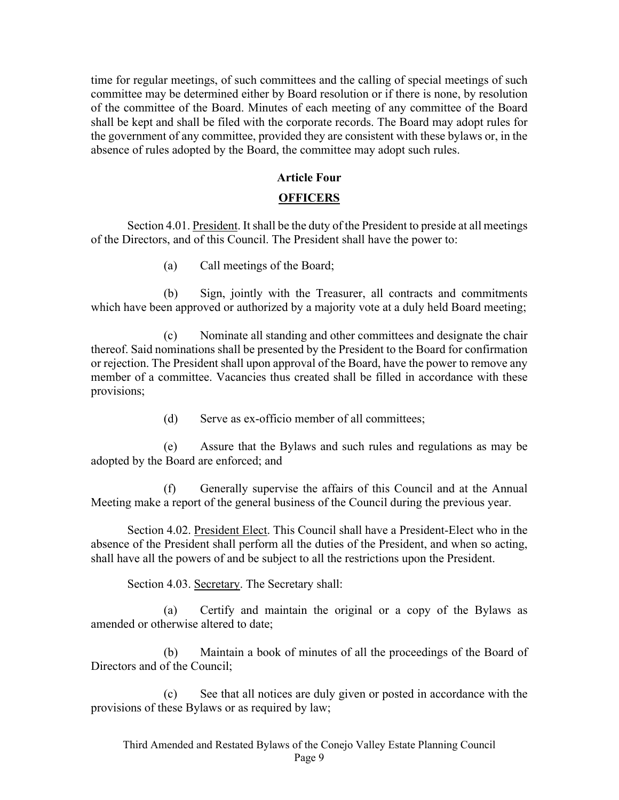time for regular meetings, of such committees and the calling of special meetings of such committee may be determined either by Board resolution or if there is none, by resolution of the committee of the Board. Minutes of each meeting of any committee of the Board shall be kept and shall be filed with the corporate records. The Board may adopt rules for the government of any committee, provided they are consistent with these bylaws or, in the absence of rules adopted by the Board, the committee may adopt such rules.

## **Article Four**

### **OFFICERS**

Section 4.01. President. It shall be the duty of the President to preside at all meetings of the Directors, and of this Council. The President shall have the power to:

(a) Call meetings of the Board;

(b) Sign, jointly with the Treasurer, all contracts and commitments which have been approved or authorized by a majority vote at a duly held Board meeting;

(c) Nominate all standing and other committees and designate the chair thereof. Said nominations shall be presented by the President to the Board for confirmation or rejection. The President shall upon approval of the Board, have the power to remove any member of a committee. Vacancies thus created shall be filled in accordance with these provisions;

(d) Serve as ex-officio member of all committees;

(e) Assure that the Bylaws and such rules and regulations as may be adopted by the Board are enforced; and

(f) Generally supervise the affairs of this Council and at the Annual Meeting make a report of the general business of the Council during the previous year.

Section 4.02. President Elect. This Council shall have a President-Elect who in the absence of the President shall perform all the duties of the President, and when so acting, shall have all the powers of and be subject to all the restrictions upon the President.

Section 4.03. Secretary. The Secretary shall:

(a) Certify and maintain the original or a copy of the Bylaws as amended or otherwise altered to date;

(b) Maintain a book of minutes of all the proceedings of the Board of Directors and of the Council;

(c) See that all notices are duly given or posted in accordance with the provisions of these Bylaws or as required by law;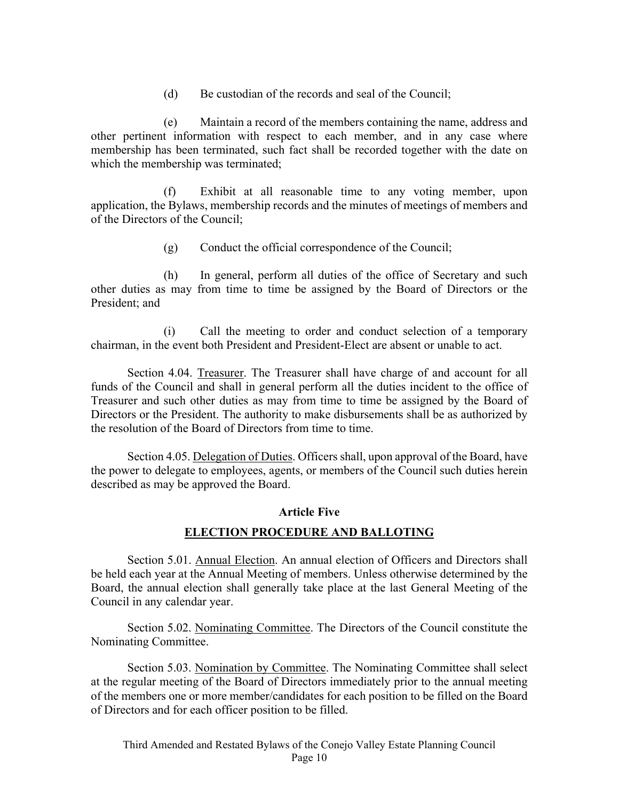(d) Be custodian of the records and seal of the Council;

(e) Maintain a record of the members containing the name, address and other pertinent information with respect to each member, and in any case where membership has been terminated, such fact shall be recorded together with the date on which the membership was terminated;

(f) Exhibit at all reasonable time to any voting member, upon application, the Bylaws, membership records and the minutes of meetings of members and of the Directors of the Council;

(g) Conduct the official correspondence of the Council;

(h) In general, perform all duties of the office of Secretary and such other duties as may from time to time be assigned by the Board of Directors or the President; and

(i) Call the meeting to order and conduct selection of a temporary chairman, in the event both President and President-Elect are absent or unable to act.

Section 4.04. Treasurer. The Treasurer shall have charge of and account for all funds of the Council and shall in general perform all the duties incident to the office of Treasurer and such other duties as may from time to time be assigned by the Board of Directors or the President. The authority to make disbursements shall be as authorized by the resolution of the Board of Directors from time to time.

Section 4.05. Delegation of Duties. Officers shall, upon approval of the Board, have the power to delegate to employees, agents, or members of the Council such duties herein described as may be approved the Board.

## **Article Five**

# **ELECTION PROCEDURE AND BALLOTING**

Section 5.01. Annual Election. An annual election of Officers and Directors shall be held each year at the Annual Meeting of members. Unless otherwise determined by the Board, the annual election shall generally take place at the last General Meeting of the Council in any calendar year.

Section 5.02. Nominating Committee. The Directors of the Council constitute the Nominating Committee.

Section 5.03. Nomination by Committee. The Nominating Committee shall select at the regular meeting of the Board of Directors immediately prior to the annual meeting of the members one or more member/candidates for each position to be filled on the Board of Directors and for each officer position to be filled.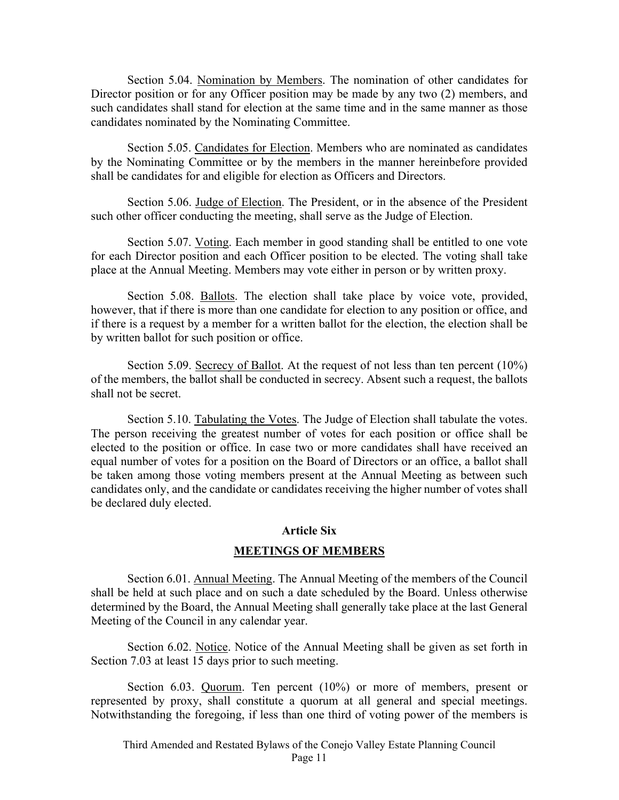Section 5.04. Nomination by Members. The nomination of other candidates for Director position or for any Officer position may be made by any two (2) members, and such candidates shall stand for election at the same time and in the same manner as those candidates nominated by the Nominating Committee.

Section 5.05. Candidates for Election. Members who are nominated as candidates by the Nominating Committee or by the members in the manner hereinbefore provided shall be candidates for and eligible for election as Officers and Directors.

Section 5.06. Judge of Election. The President, or in the absence of the President such other officer conducting the meeting, shall serve as the Judge of Election.

Section 5.07. Voting. Each member in good standing shall be entitled to one vote for each Director position and each Officer position to be elected. The voting shall take place at the Annual Meeting. Members may vote either in person or by written proxy.

Section 5.08. Ballots. The election shall take place by voice vote, provided, however, that if there is more than one candidate for election to any position or office, and if there is a request by a member for a written ballot for the election, the election shall be by written ballot for such position or office.

Section 5.09. Secrecy of Ballot. At the request of not less than ten percent (10%) of the members, the ballot shall be conducted in secrecy. Absent such a request, the ballots shall not be secret.

Section 5.10. Tabulating the Votes. The Judge of Election shall tabulate the votes. The person receiving the greatest number of votes for each position or office shall be elected to the position or office. In case two or more candidates shall have received an equal number of votes for a position on the Board of Directors or an office, a ballot shall be taken among those voting members present at the Annual Meeting as between such candidates only, and the candidate or candidates receiving the higher number of votes shall be declared duly elected.

#### **Article Six**

### **MEETINGS OF MEMBERS**

Section 6.01. Annual Meeting. The Annual Meeting of the members of the Council shall be held at such place and on such a date scheduled by the Board. Unless otherwise determined by the Board, the Annual Meeting shall generally take place at the last General Meeting of the Council in any calendar year.

Section 6.02. Notice. Notice of the Annual Meeting shall be given as set forth in Section 7.03 at least 15 days prior to such meeting.

Section 6.03. Quorum. Ten percent (10%) or more of members, present or represented by proxy, shall constitute a quorum at all general and special meetings. Notwithstanding the foregoing, if less than one third of voting power of the members is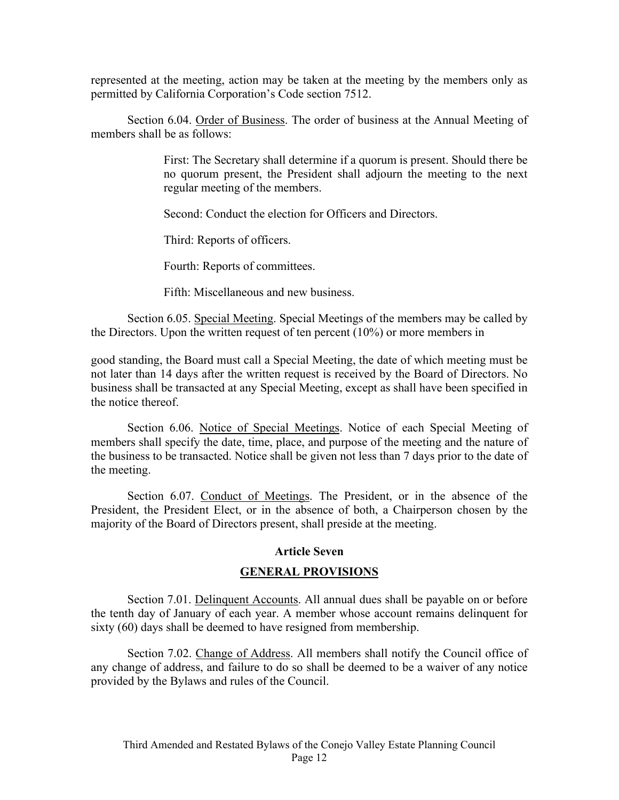represented at the meeting, action may be taken at the meeting by the members only as permitted by California Corporation's Code section 7512.

Section 6.04. Order of Business. The order of business at the Annual Meeting of members shall be as follows:

> First: The Secretary shall determine if a quorum is present. Should there be no quorum present, the President shall adjourn the meeting to the next regular meeting of the members.

Second: Conduct the election for Officers and Directors.

Third: Reports of officers.

Fourth: Reports of committees.

Fifth: Miscellaneous and new business.

Section 6.05. Special Meeting. Special Meetings of the members may be called by the Directors. Upon the written request of ten percent (10%) or more members in

good standing, the Board must call a Special Meeting, the date of which meeting must be not later than 14 days after the written request is received by the Board of Directors. No business shall be transacted at any Special Meeting, except as shall have been specified in the notice thereof.

Section 6.06. Notice of Special Meetings. Notice of each Special Meeting of members shall specify the date, time, place, and purpose of the meeting and the nature of the business to be transacted. Notice shall be given not less than 7 days prior to the date of the meeting.

Section 6.07. Conduct of Meetings. The President, or in the absence of the President, the President Elect, or in the absence of both, a Chairperson chosen by the majority of the Board of Directors present, shall preside at the meeting.

## **Article Seven**

## **GENERAL PROVISIONS**

Section 7.01. Delinquent Accounts. All annual dues shall be payable on or before the tenth day of January of each year. A member whose account remains delinquent for sixty (60) days shall be deemed to have resigned from membership.

Section 7.02. Change of Address. All members shall notify the Council office of any change of address, and failure to do so shall be deemed to be a waiver of any notice provided by the Bylaws and rules of the Council.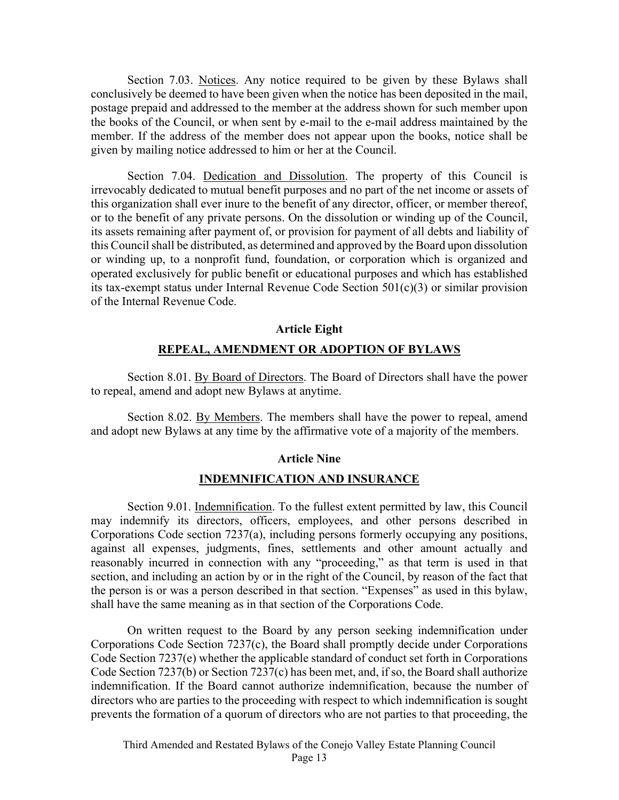Section 7.03. Notices. Any notice required to be given by these Bylaws shall conclusively be deemed to have been given when the notice has been deposited in the mail, postage prepaid and addressed to the member at the address shown for such member upon the books of the Council, or when sent by e-mail to the e-mail address maintained by the member. If the address of the member does not appear upon the books, notice shall be given by mailing notice addressed to him or her at the Council.

Section 7.04. Dedication and Dissolution. The property of this Council is irrevocably dedicated to mutual benefit purposes and no part of the net income or assets of this organization shall ever inure to the benefit of any director, officer, or member thereof, or to the benefit of any private persons. On the dissolution or winding up of the Council, its assets remaining after payment of, or provision for payment of all debts and liability of this Council shall be distributed, as determined and approved by the Board upon dissolution or winding up, to a nonprofit fund, foundation, or corporation which is organized and operated exclusively for public benefit or educational purposes and which has established its tax-exempt status under Internal Revenue Code Section 501(c)(3) or similar provision of the Internal Revenue Code.

### **Article Eight**

## **REPEAL, AMENDMENT OR ADOPTION OF BYLAWS**

Section 8.01. By Board of Directors. The Board of Directors shall have the power to repeal, amend and adopt new Bylaws at anytime.

Section 8.02. By Members. The members shall have the power to repeal, amend and adopt new Bylaws at any time by the affirmative vote of a majority of the members.

### **Article Nine**

### **INDEMNIFICATION AND INSURANCE**

Section 9.01. Indemnification. To the fullest extent permitted by law, this Council may indemnify its directors, officers, employees, and other persons described in Corporations Code section 7237(a), including persons formerly occupying any positions, against all expenses, judgments, fines, settlements and other amount actually and reasonably incurred in connection with any "proceeding," as that term is used in that section, and including an action by or in the right of the Council, by reason of the fact that the person is or was a person described in that section. "Expenses" as used in this bylaw, shall have the same meaning as in that section of the Corporations Code.

On written request to the Board by any person seeking indemnification under Corporations Code Section 7237(c), the Board shall promptly decide under Corporations Code Section 7237(e) whether the applicable standard of conduct set forth in Corporations Code Section 7237(b) or Section 7237(c) has been met, and, if so, the Board shall authorize indemnification. If the Board cannot authorize indemnification, because the number of directors who are parties to the proceeding with respect to which indemnification is sought prevents the formation of a quorum of directors who are not parties to that proceeding, the